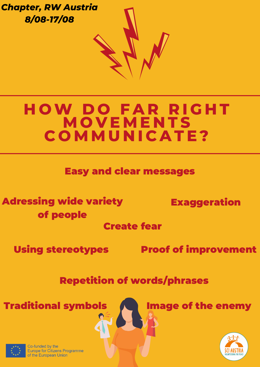

# **H OW D O F A R R I G H T M O V E M E N T S C O M M U N I C A T E ?**

Easy and clear messages

Adressing wide variety of people

Exaggeration

Create fear

Using stereotypes

Proof of improvement

Repetition of words/phrases

Traditional symbols **Traditional symbols** 



Co-funded by the Europe for Citizens Programme of the European Union

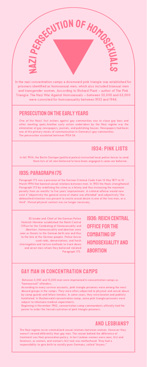#### GAY MAN IN CONCENTRATION CAMPS

Between 5,000 and 15,000 men were imprisoned in concentration camps as "homosexual" offenders.

According to many survivor accounts, pink triangle prisoners were among the most abused groups in the camps. They were often subjected to physical and sexual abuse by camp guards and fellow inmates. In some cases, they were beaten and publicly humiliated. In Buchenwald concentration camp, some pink triangle prisoners were subject to inhumane medical experiments.

Beginning in November 1942, concentration camp commandants officially had the power to order the forced castration of pink triangle prisoners.

SS leader and Chief of the German Police

Heinrich Himmler established the Reich Central Office for the Combating of Homosexuality and Abortion. Homosexuality and abortion were seen as threats to the German birth rate and thus to the fate of the German people. Police forces used raids, denunciations, and harsh interrogation and torture methods to track down and arrest men whom they believed violated Paragraph 175.

N A N. <u>In the set of the set of the set of the set of the set of the set of the set of the set of the set of the set of the set of the set of the set of the set of the set of the set of the set of the set of the set of the set o</u> PERSECUTION OF HOMOGRAPH  $\overline{\phantom{a}}$ **S** 

# 1934: PINK LISTS

In fall 1934, the Berlin Gestapo (political police) instructed local police forces to send them lists of all men believed to have been engaged in same-sex behavior.

> Office for the **COMBATING OF** Homosexuality and **ABORTION**

Paragraph 175 was a provision of the German Criminal Code from 15 May 1871 to 10 March 1994 that banned sexual relations between men. In 1935 the Nazis strengthened Paragraph 175 by redefining the crime as a felony and thus increasing the maximum penalty from six months' to five years' imprisonment. A criminal offense would now exist if "objectively the general sense of shame was offended" and subjectively "the debauched intention was present to excite sexual desire in one of the two men, or a third". Mutual physical contact was no longer necessary.

In the nazi concentration camps a downward pink triangle was established for prisoners identified as homosexual men, which also included bisexual men and transgender women. According to Richard Plant – author of The Pink Triangle: The Nazi War Against Homosexuals – between 50,000 and 63,000 were convicted for homosexuality between 1933 and 1944.

One of the Nazis' first actions against gay communities was to close gay bars and other meeting spots.Another early action undertaken by the Nazi regime was the elimination of gay newspapers, journals, and publishing houses. Newspapers had been one of the primary means of communication in Germany's gay communities. The persecution escaleted between 1934-36

## Persecution on the early years

## 1935: Paragraph 175

1936: Reich Central

#### AND LESBIANS?

The Nazi regime never criminalized sexual relations between women. However they weren't viewed differently than gay man. The reason behind the difference of treatment was Nazi procreation policy. In fact Lesbian women were seen, first and foremost, as women, and woman's first task was motherhood. They had a responsibility to give birth to racially pure Germans, called "Aryans."